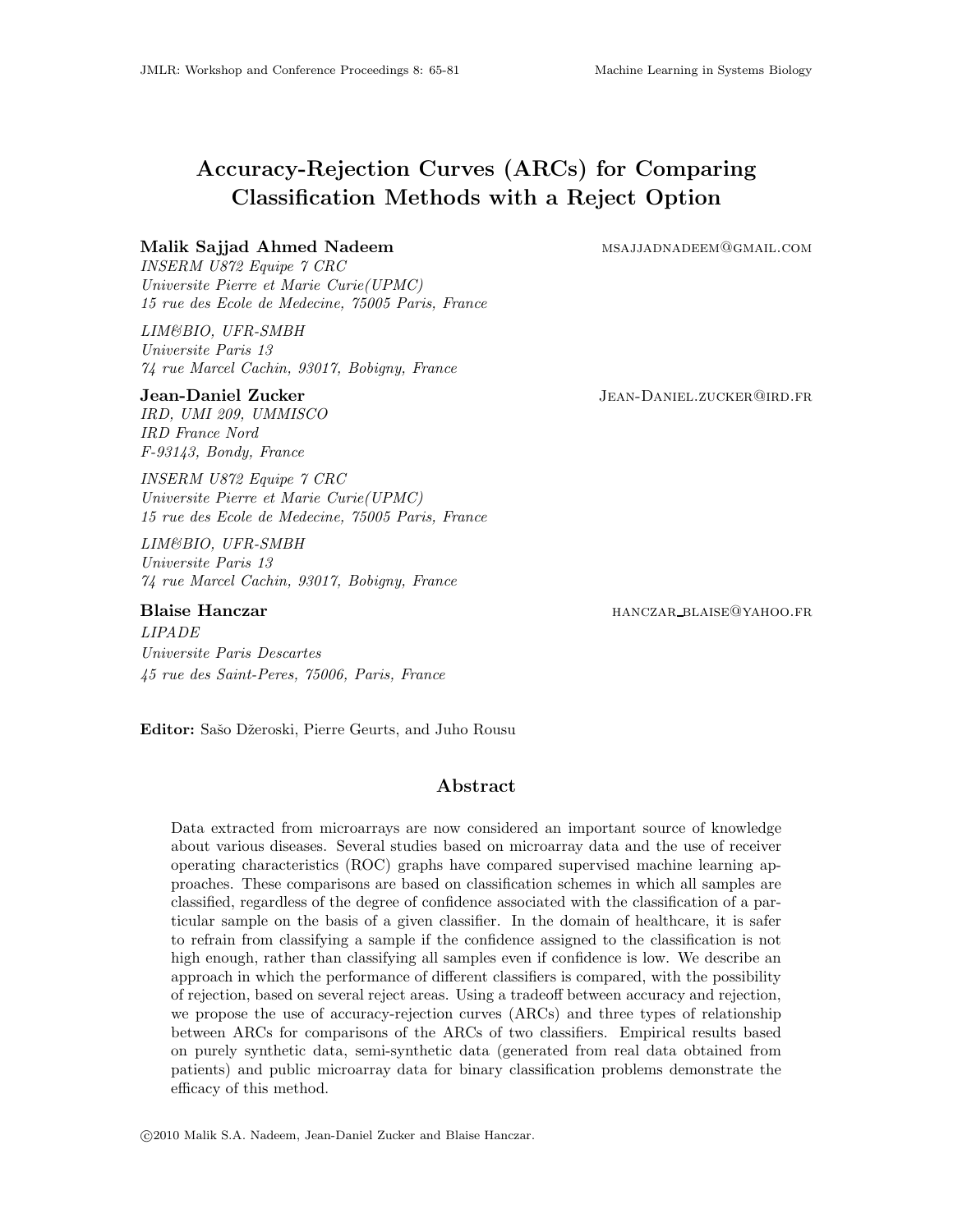# Accuracy-Rejection Curves (ARCs) for Comparing Classification Methods with a Reject Option

# Malik Sajjad Ahmed Nadeem msajjadnadeem msajjadnadeem msajjadnadeem

INSERM U872 Equipe 7 CRC Universite Pierre et Marie Curie(UPMC) 15 rue des Ecole de Medecine, 75005 Paris, France

LIM&BIO, UFR-SMBH Universite Paris 13 74 rue Marcel Cachin, 93017, Bobigny, France

#### **Jean-Daniel Zucker State Australian State Australian State Jean-Daniel.**zucker@ird.fr

IRD, UMI 209, UMMISCO IRD France Nord F-93143, Bondy, France

INSERM U872 Equipe 7 CRC Universite Pierre et Marie Curie(UPMC) 15 rue des Ecole de Medecine, 75005 Paris, France

LIM&BIO, UFR-SMBH Universite Paris 13 74 rue Marcel Cachin, 93017, Bobigny, France

#### Blaise Hanczar **hanczar hanczar** blank blank blank blank blank blank blank blank blank blank blank blank blank blank blank blank blank blank blank blank blank blank blank blank blank blank blank blank blank blank blank b

LIPADE Universite Paris Descartes 45 rue des Saint-Peres, 75006, Paris, France

Editor: Sašo Džeroski, Pierre Geurts, and Juho Rousu

# Abstract

Data extracted from microarrays are now considered an important source of knowledge about various diseases. Several studies based on microarray data and the use of receiver operating characteristics (ROC) graphs have compared supervised machine learning approaches. These comparisons are based on classification schemes in which all samples are classified, regardless of the degree of confidence associated with the classification of a particular sample on the basis of a given classifier. In the domain of healthcare, it is safer to refrain from classifying a sample if the confidence assigned to the classification is not high enough, rather than classifying all samples even if confidence is low. We describe an approach in which the performance of different classifiers is compared, with the possibility of rejection, based on several reject areas. Using a tradeoff between accuracy and rejection, we propose the use of accuracy-rejection curves (ARCs) and three types of relationship between ARCs for comparisons of the ARCs of two classifiers. Empirical results based on purely synthetic data, semi-synthetic data (generated from real data obtained from patients) and public microarray data for binary classification problems demonstrate the efficacy of this method.

c 2010 Malik S.A. Nadeem, Jean-Daniel Zucker and Blaise Hanczar.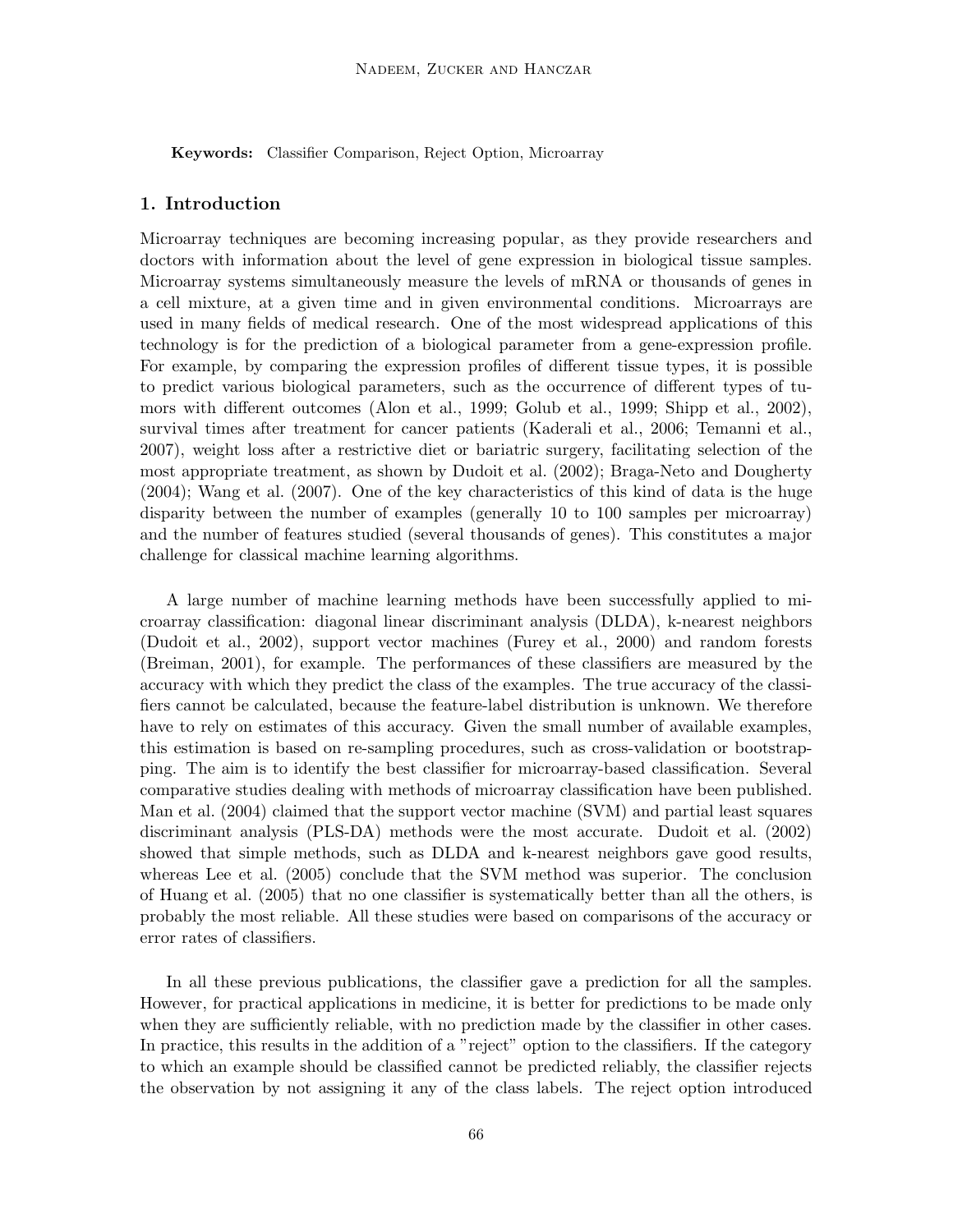Keywords: Classifier Comparison, Reject Option, Microarray

#### 1. Introduction

Microarray techniques are becoming increasing popular, as they provide researchers and doctors with information about the level of gene expression in biological tissue samples. Microarray systems simultaneously measure the levels of mRNA or thousands of genes in a cell mixture, at a given time and in given environmental conditions. Microarrays are used in many fields of medical research. One of the most widespread applications of this technology is for the prediction of a biological parameter from a gene-expression profile. For example, by comparing the expression profiles of different tissue types, it is possible to predict various biological parameters, such as the occurrence of different types of tumors with different outcomes (Alon et al., 1999; Golub et al., 1999; Shipp et al., 2002), survival times after treatment for cancer patients (Kaderali et al., 2006; Temanni et al., 2007), weight loss after a restrictive diet or bariatric surgery, facilitating selection of the most appropriate treatment, as shown by Dudoit et al. (2002); Braga-Neto and Dougherty (2004); Wang et al. (2007). One of the key characteristics of this kind of data is the huge disparity between the number of examples (generally 10 to 100 samples per microarray) and the number of features studied (several thousands of genes). This constitutes a major challenge for classical machine learning algorithms.

A large number of machine learning methods have been successfully applied to microarray classification: diagonal linear discriminant analysis (DLDA), k-nearest neighbors (Dudoit et al., 2002), support vector machines (Furey et al., 2000) and random forests (Breiman, 2001), for example. The performances of these classifiers are measured by the accuracy with which they predict the class of the examples. The true accuracy of the classifiers cannot be calculated, because the feature-label distribution is unknown. We therefore have to rely on estimates of this accuracy. Given the small number of available examples, this estimation is based on re-sampling procedures, such as cross-validation or bootstrapping. The aim is to identify the best classifier for microarray-based classification. Several comparative studies dealing with methods of microarray classification have been published. Man et al. (2004) claimed that the support vector machine (SVM) and partial least squares discriminant analysis (PLS-DA) methods were the most accurate. Dudoit et al. (2002) showed that simple methods, such as DLDA and k-nearest neighbors gave good results, whereas Lee et al. (2005) conclude that the SVM method was superior. The conclusion of Huang et al. (2005) that no one classifier is systematically better than all the others, is probably the most reliable. All these studies were based on comparisons of the accuracy or error rates of classifiers.

In all these previous publications, the classifier gave a prediction for all the samples. However, for practical applications in medicine, it is better for predictions to be made only when they are sufficiently reliable, with no prediction made by the classifier in other cases. In practice, this results in the addition of a "reject" option to the classifiers. If the category to which an example should be classified cannot be predicted reliably, the classifier rejects the observation by not assigning it any of the class labels. The reject option introduced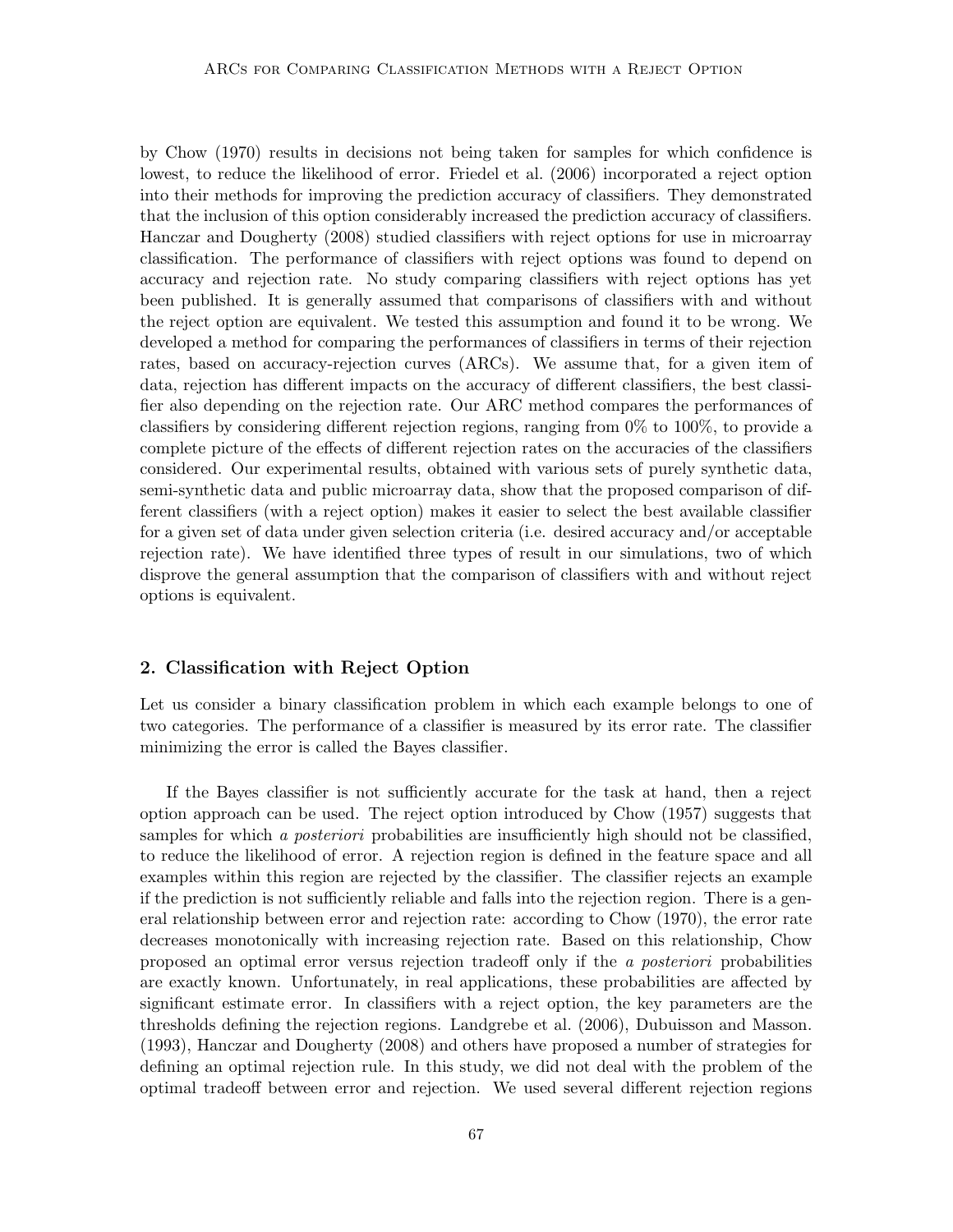by Chow (1970) results in decisions not being taken for samples for which confidence is lowest, to reduce the likelihood of error. Friedel et al. (2006) incorporated a reject option into their methods for improving the prediction accuracy of classifiers. They demonstrated that the inclusion of this option considerably increased the prediction accuracy of classifiers. Hanczar and Dougherty (2008) studied classifiers with reject options for use in microarray classification. The performance of classifiers with reject options was found to depend on accuracy and rejection rate. No study comparing classifiers with reject options has yet been published. It is generally assumed that comparisons of classifiers with and without the reject option are equivalent. We tested this assumption and found it to be wrong. We developed a method for comparing the performances of classifiers in terms of their rejection rates, based on accuracy-rejection curves (ARCs). We assume that, for a given item of data, rejection has different impacts on the accuracy of different classifiers, the best classifier also depending on the rejection rate. Our ARC method compares the performances of classifiers by considering different rejection regions, ranging from 0% to 100%, to provide a complete picture of the effects of different rejection rates on the accuracies of the classifiers considered. Our experimental results, obtained with various sets of purely synthetic data, semi-synthetic data and public microarray data, show that the proposed comparison of different classifiers (with a reject option) makes it easier to select the best available classifier for a given set of data under given selection criteria (i.e. desired accuracy and/or acceptable rejection rate). We have identified three types of result in our simulations, two of which disprove the general assumption that the comparison of classifiers with and without reject options is equivalent.

## 2. Classification with Reject Option

Let us consider a binary classification problem in which each example belongs to one of two categories. The performance of a classifier is measured by its error rate. The classifier minimizing the error is called the Bayes classifier.

If the Bayes classifier is not sufficiently accurate for the task at hand, then a reject option approach can be used. The reject option introduced by Chow (1957) suggests that samples for which a *posteriori* probabilities are insufficiently high should not be classified, to reduce the likelihood of error. A rejection region is defined in the feature space and all examples within this region are rejected by the classifier. The classifier rejects an example if the prediction is not sufficiently reliable and falls into the rejection region. There is a general relationship between error and rejection rate: according to Chow (1970), the error rate decreases monotonically with increasing rejection rate. Based on this relationship, Chow proposed an optimal error versus rejection tradeoff only if the a posteriori probabilities are exactly known. Unfortunately, in real applications, these probabilities are affected by significant estimate error. In classifiers with a reject option, the key parameters are the thresholds defining the rejection regions. Landgrebe et al. (2006), Dubuisson and Masson. (1993), Hanczar and Dougherty (2008) and others have proposed a number of strategies for defining an optimal rejection rule. In this study, we did not deal with the problem of the optimal tradeoff between error and rejection. We used several different rejection regions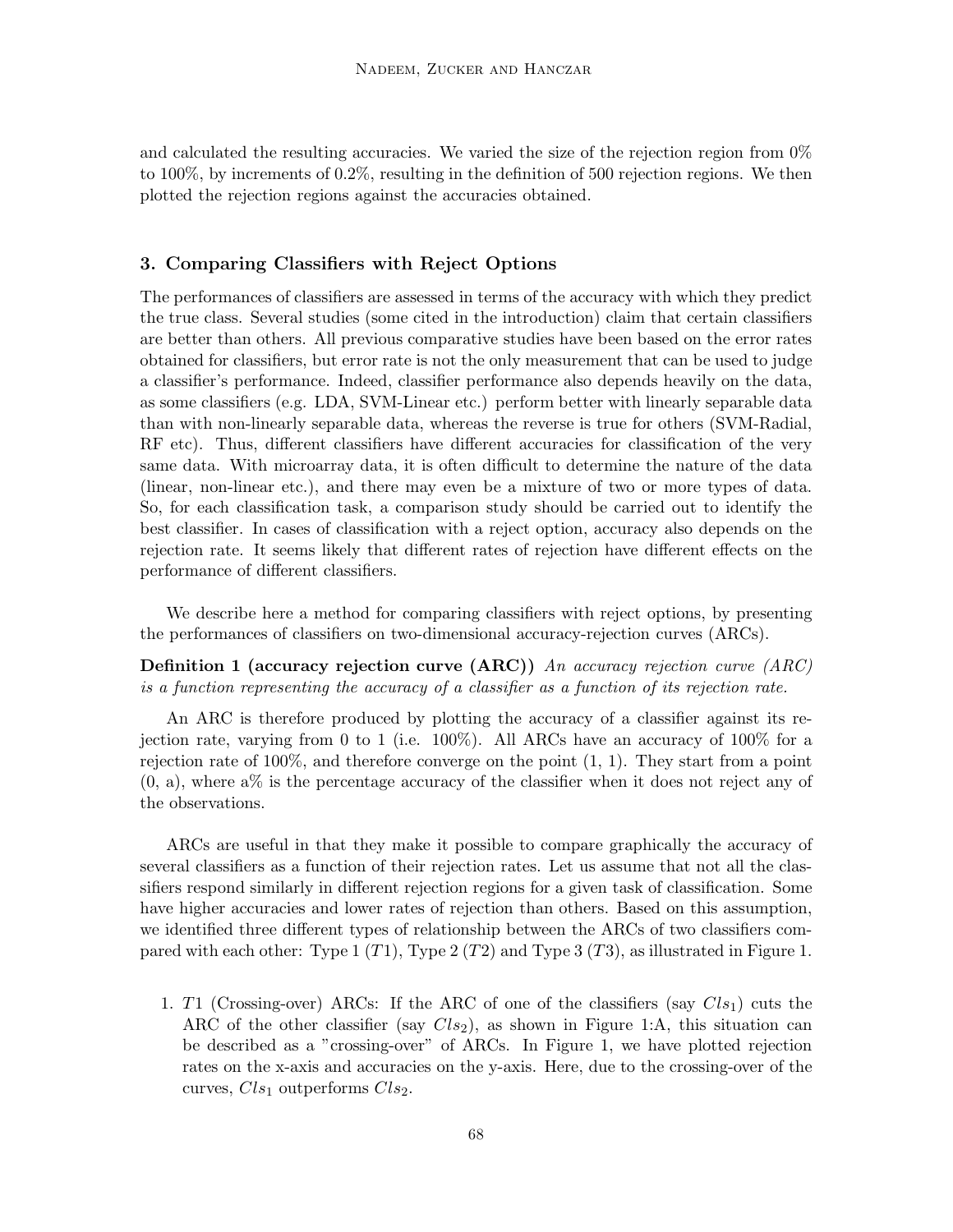and calculated the resulting accuracies. We varied the size of the rejection region from 0% to 100%, by increments of 0.2%, resulting in the definition of 500 rejection regions. We then plotted the rejection regions against the accuracies obtained.

# 3. Comparing Classifiers with Reject Options

The performances of classifiers are assessed in terms of the accuracy with which they predict the true class. Several studies (some cited in the introduction) claim that certain classifiers are better than others. All previous comparative studies have been based on the error rates obtained for classifiers, but error rate is not the only measurement that can be used to judge a classifier's performance. Indeed, classifier performance also depends heavily on the data, as some classifiers (e.g. LDA, SVM-Linear etc.) perform better with linearly separable data than with non-linearly separable data, whereas the reverse is true for others (SVM-Radial, RF etc). Thus, different classifiers have different accuracies for classification of the very same data. With microarray data, it is often difficult to determine the nature of the data (linear, non-linear etc.), and there may even be a mixture of two or more types of data. So, for each classification task, a comparison study should be carried out to identify the best classifier. In cases of classification with a reject option, accuracy also depends on the rejection rate. It seems likely that different rates of rejection have different effects on the performance of different classifiers.

We describe here a method for comparing classifiers with reject options, by presenting the performances of classifiers on two-dimensional accuracy-rejection curves (ARCs).

Definition 1 (accuracy rejection curve (ARC)) An accuracy rejection curve (ARC) is a function representing the accuracy of a classifier as a function of its rejection rate.

An ARC is therefore produced by plotting the accuracy of a classifier against its rejection rate, varying from 0 to 1 (i.e. 100%). All ARCs have an accuracy of 100% for a rejection rate of 100%, and therefore converge on the point (1, 1). They start from a point  $(0, a)$ , where  $a\%$  is the percentage accuracy of the classifier when it does not reject any of the observations.

ARCs are useful in that they make it possible to compare graphically the accuracy of several classifiers as a function of their rejection rates. Let us assume that not all the classifiers respond similarly in different rejection regions for a given task of classification. Some have higher accuracies and lower rates of rejection than others. Based on this assumption, we identified three different types of relationship between the ARCs of two classifiers compared with each other: Type  $1 (T1)$ , Type  $2 (T2)$  and Type  $3 (T3)$ , as illustrated in Figure 1.

1. T1 (Crossing-over) ARCs: If the ARC of one of the classifiers (say  $Cl_{21}$ ) cuts the ARC of the other classifier (say  $Cl_{22}$ ), as shown in Figure 1:A, this situation can be described as a "crossing-over" of ARCs. In Figure 1, we have plotted rejection rates on the x-axis and accuracies on the y-axis. Here, due to the crossing-over of the curves,  $Cls_1$  outperforms  $Cls_2$ .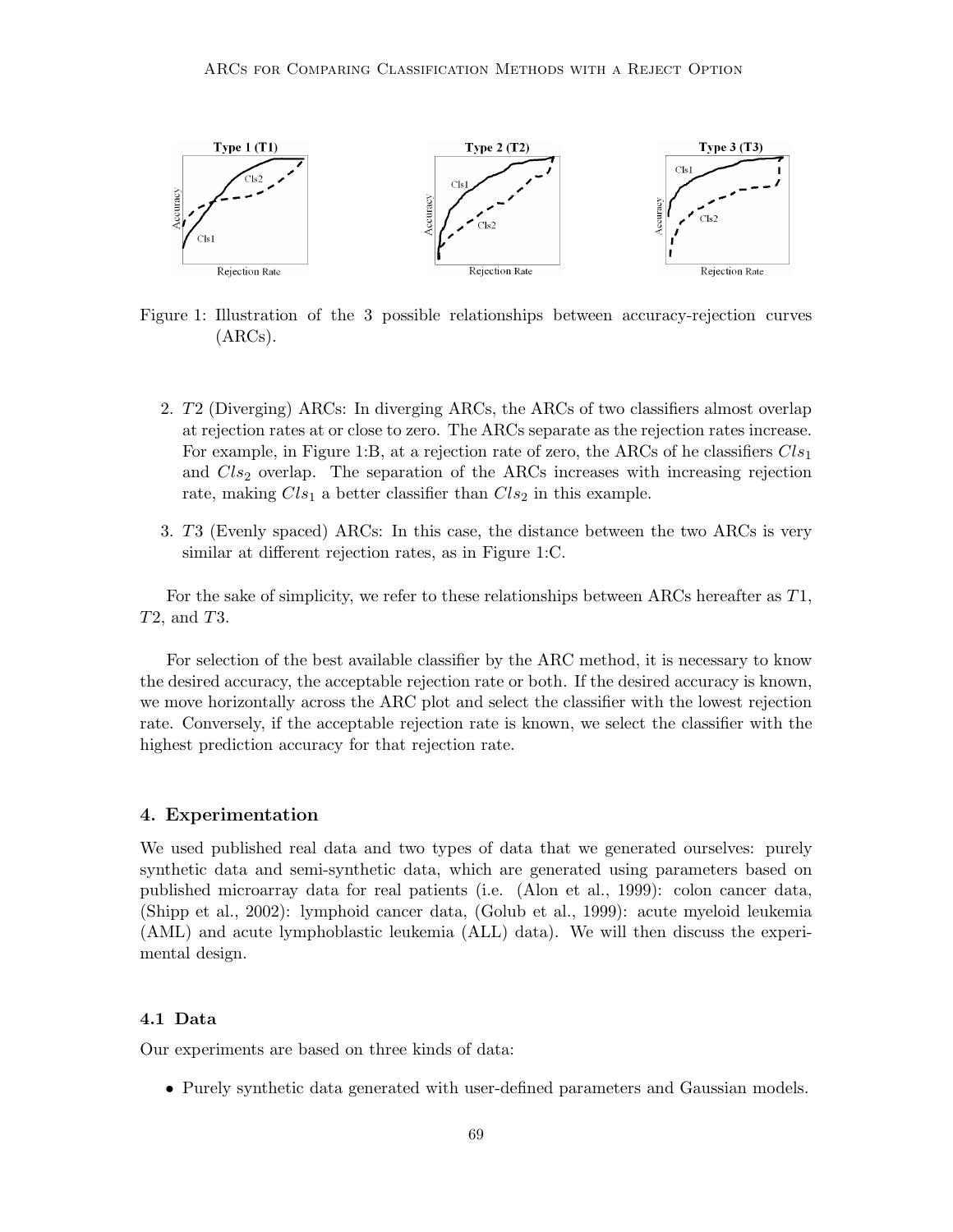

Figure 1: Illustration of the 3 possible relationships between accuracy-rejection curves (ARCs).

- 2. T2 (Diverging) ARCs: In diverging ARCs, the ARCs of two classifiers almost overlap at rejection rates at or close to zero. The ARCs separate as the rejection rates increase. For example, in Figure 1:B, at a rejection rate of zero, the ARCs of he classifiers  $Cls<sub>1</sub>$ and  $Cls<sub>2</sub>$  overlap. The separation of the ARCs increases with increasing rejection rate, making  $Cls_1$  a better classifier than  $Cls_2$  in this example.
- 3. T3 (Evenly spaced) ARCs: In this case, the distance between the two ARCs is very similar at different rejection rates, as in Figure 1:C.

For the sake of simplicity, we refer to these relationships between ARCs hereafter as T1, T2, and T3.

For selection of the best available classifier by the ARC method, it is necessary to know the desired accuracy, the acceptable rejection rate or both. If the desired accuracy is known, we move horizontally across the ARC plot and select the classifier with the lowest rejection rate. Conversely, if the acceptable rejection rate is known, we select the classifier with the highest prediction accuracy for that rejection rate.

## 4. Experimentation

We used published real data and two types of data that we generated ourselves: purely synthetic data and semi-synthetic data, which are generated using parameters based on published microarray data for real patients (i.e. (Alon et al., 1999): colon cancer data, (Shipp et al., 2002): lymphoid cancer data, (Golub et al., 1999): acute myeloid leukemia (AML) and acute lymphoblastic leukemia (ALL) data). We will then discuss the experimental design.

# 4.1 Data

Our experiments are based on three kinds of data:

• Purely synthetic data generated with user-defined parameters and Gaussian models.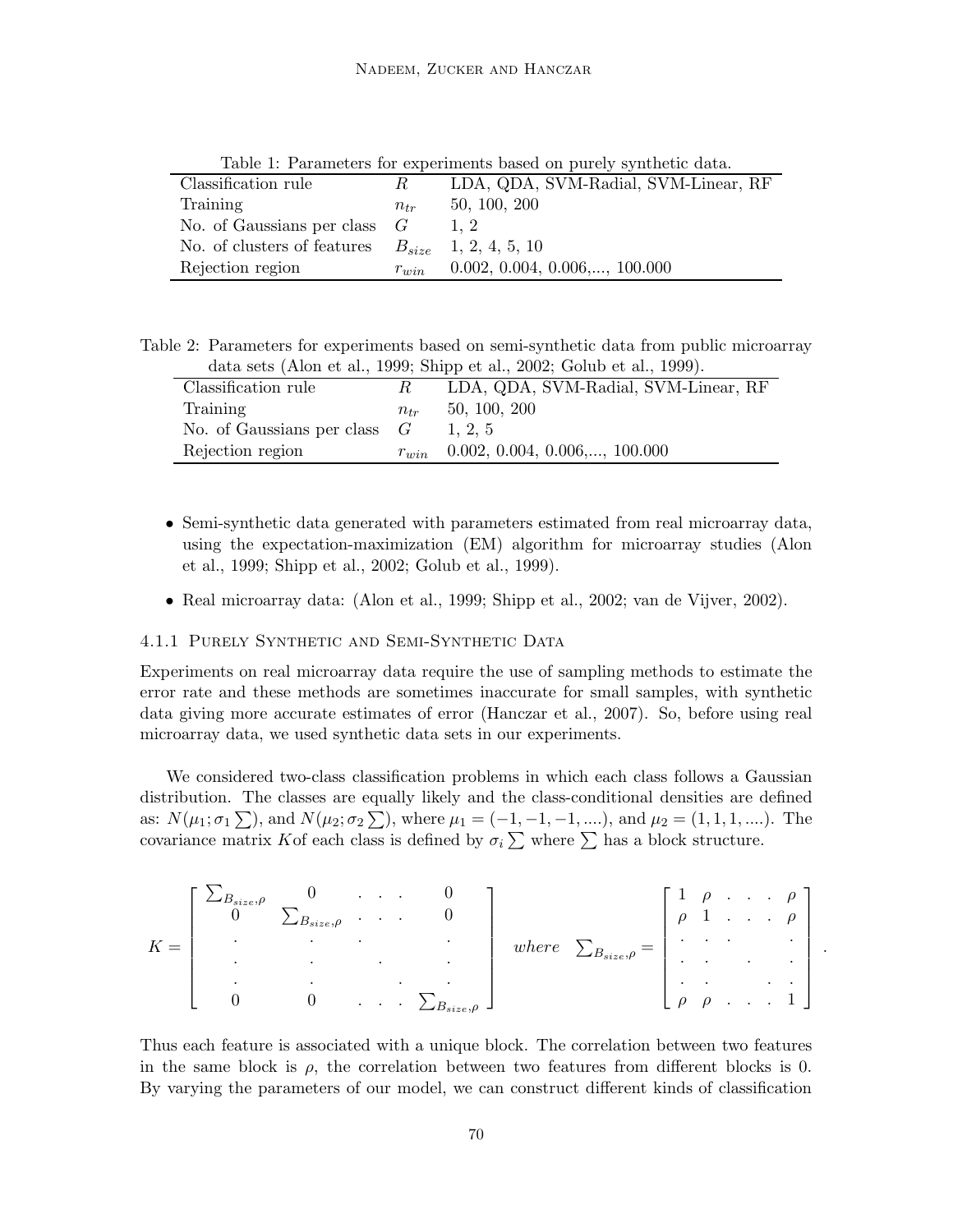| <b>rapic 1. I arameters for experiments based on purery symmetre data.</b> |           |                                        |  |  |  |
|----------------------------------------------------------------------------|-----------|----------------------------------------|--|--|--|
| Classification rule                                                        | R.        | LDA, QDA, SVM-Radial, SVM-Linear, RF   |  |  |  |
| Training                                                                   | $n_{tr}$  | 50, 100, 200                           |  |  |  |
| No. of Gaussians per class $G$                                             |           |                                        |  |  |  |
| No. of clusters of features                                                |           | $B_{size}$ 1, 2, 4, 5, 10              |  |  |  |
| Rejection region                                                           | $r_{win}$ | $0.002, 0.004, 0.006, \ldots, 100.000$ |  |  |  |

Table 1: Parameters for experiments based on purely synthetic data.

Table 2: Parameters for experiments based on semi-synthetic data from public microarray data sets (Alon et al., 1999; Shipp et al., 2002; Golub et al., 1999).

| Classification rule            |           | LDA, QDA, SVM-Radial, SVM-Linear, RF   |
|--------------------------------|-----------|----------------------------------------|
| Training                       | $n_{tr}$  | 50, 100, 200                           |
| No. of Gaussians per class $G$ |           | 1.2.5                                  |
| Rejection region               | $r_{win}$ | $0.002, 0.004, 0.006, \ldots, 100.000$ |

- Semi-synthetic data generated with parameters estimated from real microarray data, using the expectation-maximization (EM) algorithm for microarray studies (Alon et al., 1999; Shipp et al., 2002; Golub et al., 1999).
- Real microarray data: (Alon et al., 1999; Shipp et al., 2002; van de Vijver, 2002).

#### 4.1.1 Purely Synthetic and Semi-Synthetic Data

Experiments on real microarray data require the use of sampling methods to estimate the error rate and these methods are sometimes inaccurate for small samples, with synthetic data giving more accurate estimates of error (Hanczar et al., 2007). So, before using real microarray data, we used synthetic data sets in our experiments.

We considered two-class classification problems in which each class follows a Gaussian distribution. The classes are equally likely and the class-conditional densities are defined as:  $N(\mu_1; \sigma_1 \sum)$ , and  $N(\mu_2; \sigma_2 \sum)$ , where  $\mu_1 = (-1, -1, -1, \ldots)$ , and  $\mu_2 = (1, 1, 1, \ldots)$ . The covariance matrix Kof each class is defined by  $\sigma_i \sum$  where  $\sum$  has a block structure.

$$
K = \begin{bmatrix} \sum_{B_{size}, \rho} & 0 & \cdots & 0 \\ 0 & \sum_{B_{size}, \rho} & \cdots & 0 \\ \vdots & \vdots & \ddots & \vdots \\ 0 & 0 & \cdots & \sum_{B_{size}, \rho} \end{bmatrix} \quad where \quad \sum_{B_{size}, \rho} = \begin{bmatrix} 1 & \rho & \cdots & \rho \\ \rho & 1 & \cdots & \rho \\ \vdots & \vdots & \ddots & \vdots \\ \rho & \rho & \cdots & 1 \end{bmatrix}
$$

.

Thus each feature is associated with a unique block. The correlation between two features in the same block is  $\rho$ , the correlation between two features from different blocks is 0. By varying the parameters of our model, we can construct different kinds of classification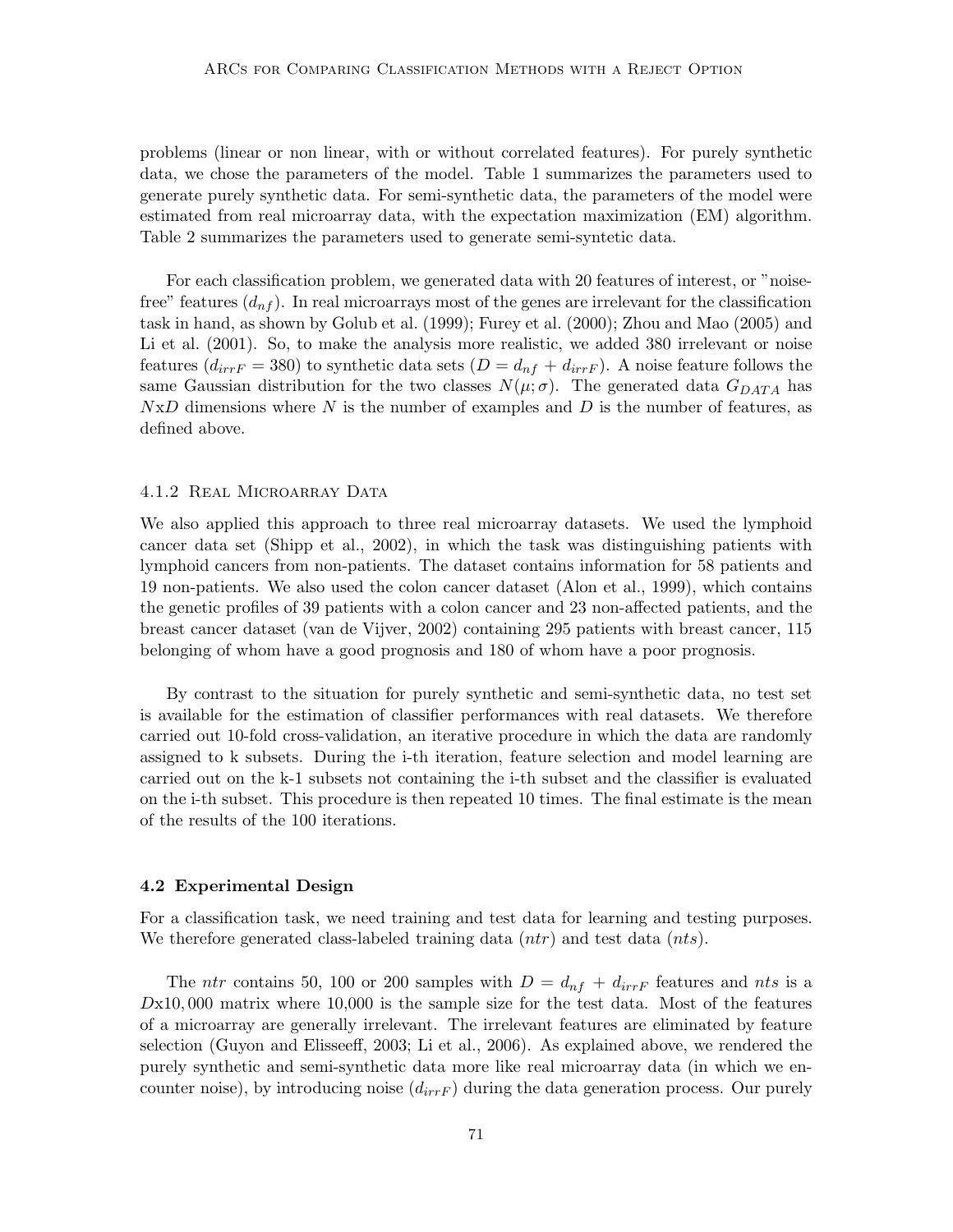problems (linear or non linear, with or without correlated features). For purely synthetic data, we chose the parameters of the model. Table 1 summarizes the parameters used to generate purely synthetic data. For semi-synthetic data, the parameters of the model were estimated from real microarray data, with the expectation maximization (EM) algorithm. Table 2 summarizes the parameters used to generate semi-syntetic data.

For each classification problem, we generated data with 20 features of interest, or "noisefree" features  $(d_{nf})$ . In real microarrays most of the genes are irrelevant for the classification task in hand, as shown by Golub et al. (1999); Furey et al. (2000); Zhou and Mao (2005) and Li et al. (2001). So, to make the analysis more realistic, we added 380 irrelevant or noise features  $(d_{irrF} = 380)$  to synthetic data sets  $(D = d_{nf} + d_{irrF})$ . A noise feature follows the same Gaussian distribution for the two classes  $N(\mu;\sigma)$ . The generated data  $G_{DATA}$  has  $NxD$  dimensions where N is the number of examples and D is the number of features, as defined above.

#### 4.1.2 REAL MICROARRAY DATA

We also applied this approach to three real microarray datasets. We used the lymphoid cancer data set (Shipp et al., 2002), in which the task was distinguishing patients with lymphoid cancers from non-patients. The dataset contains information for 58 patients and 19 non-patients. We also used the colon cancer dataset (Alon et al., 1999), which contains the genetic profiles of 39 patients with a colon cancer and 23 non-affected patients, and the breast cancer dataset (van de Vijver, 2002) containing 295 patients with breast cancer, 115 belonging of whom have a good prognosis and 180 of whom have a poor prognosis.

By contrast to the situation for purely synthetic and semi-synthetic data, no test set is available for the estimation of classifier performances with real datasets. We therefore carried out 10-fold cross-validation, an iterative procedure in which the data are randomly assigned to k subsets. During the i-th iteration, feature selection and model learning are carried out on the k-1 subsets not containing the i-th subset and the classifier is evaluated on the i-th subset. This procedure is then repeated 10 times. The final estimate is the mean of the results of the 100 iterations.

#### 4.2 Experimental Design

For a classification task, we need training and test data for learning and testing purposes. We therefore generated class-labeled training data  $(ntr)$  and test data  $(nts)$ .

The ntr contains 50, 100 or 200 samples with  $D = d_{nf} + d_{irr}F$  features and nts is a  $Dx10,000$  matrix where 10,000 is the sample size for the test data. Most of the features of a microarray are generally irrelevant. The irrelevant features are eliminated by feature selection (Guyon and Elisseeff, 2003; Li et al., 2006). As explained above, we rendered the purely synthetic and semi-synthetic data more like real microarray data (in which we encounter noise), by introducing noise  $(d_{irrF})$  during the data generation process. Our purely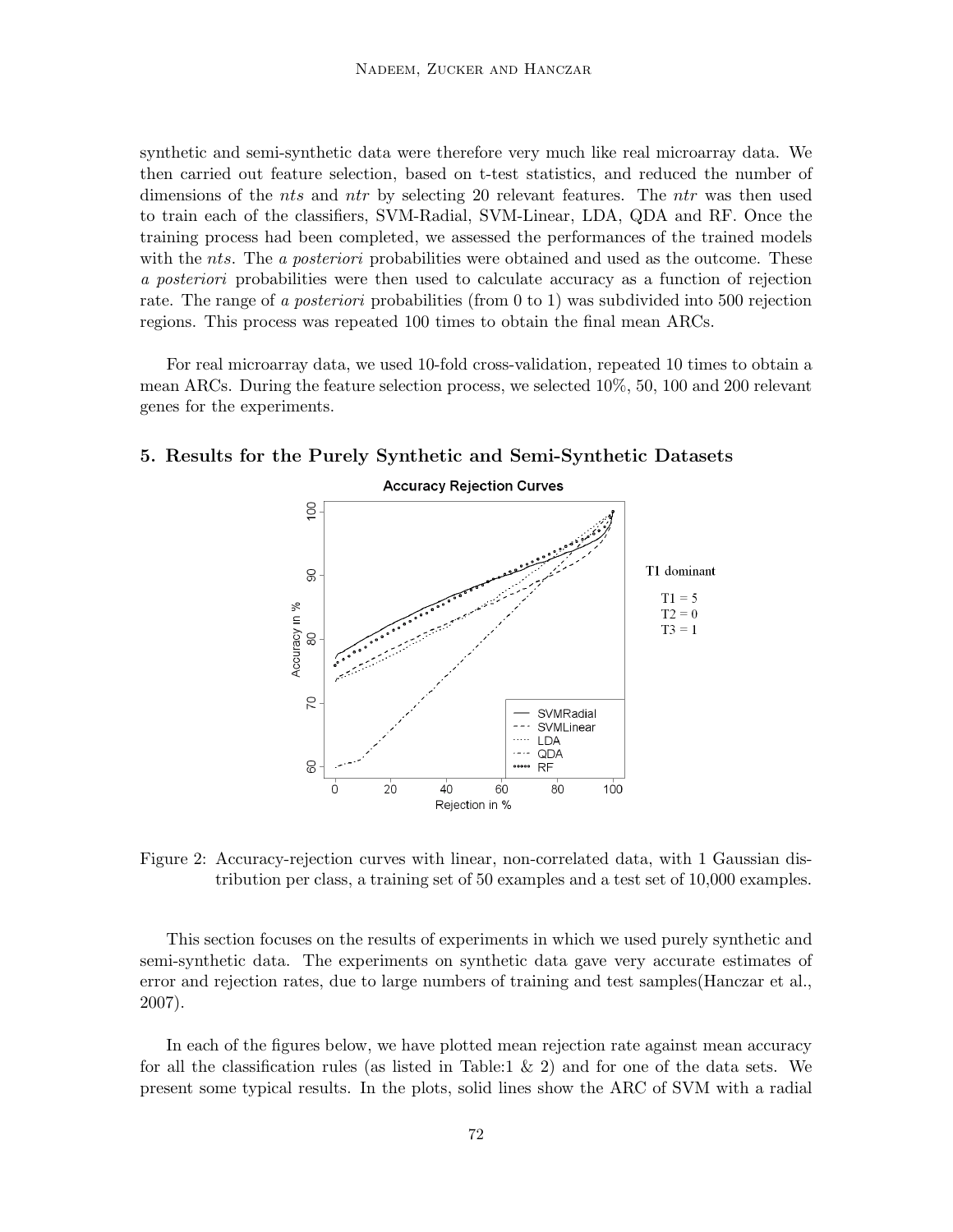synthetic and semi-synthetic data were therefore very much like real microarray data. We then carried out feature selection, based on t-test statistics, and reduced the number of dimensions of the *nts* and *ntr* by selecting 20 relevant features. The *ntr* was then used to train each of the classifiers, SVM-Radial, SVM-Linear, LDA, QDA and RF. Once the training process had been completed, we assessed the performances of the trained models with the nts. The a posteriori probabilities were obtained and used as the outcome. These a posteriori probabilities were then used to calculate accuracy as a function of rejection rate. The range of a *posteriori* probabilities (from 0 to 1) was subdivided into 500 rejection regions. This process was repeated 100 times to obtain the final mean ARCs.

For real microarray data, we used 10-fold cross-validation, repeated 10 times to obtain a mean ARCs. During the feature selection process, we selected 10%, 50, 100 and 200 relevant genes for the experiments.



# 5. Results for the Purely Synthetic and Semi-Synthetic Datasets

Figure 2: Accuracy-rejection curves with linear, non-correlated data, with 1 Gaussian distribution per class, a training set of 50 examples and a test set of 10,000 examples.

This section focuses on the results of experiments in which we used purely synthetic and semi-synthetic data. The experiments on synthetic data gave very accurate estimates of error and rejection rates, due to large numbers of training and test samples(Hanczar et al., 2007).

In each of the figures below, we have plotted mean rejection rate against mean accuracy for all the classification rules (as listed in Table:1 & 2) and for one of the data sets. We present some typical results. In the plots, solid lines show the ARC of SVM with a radial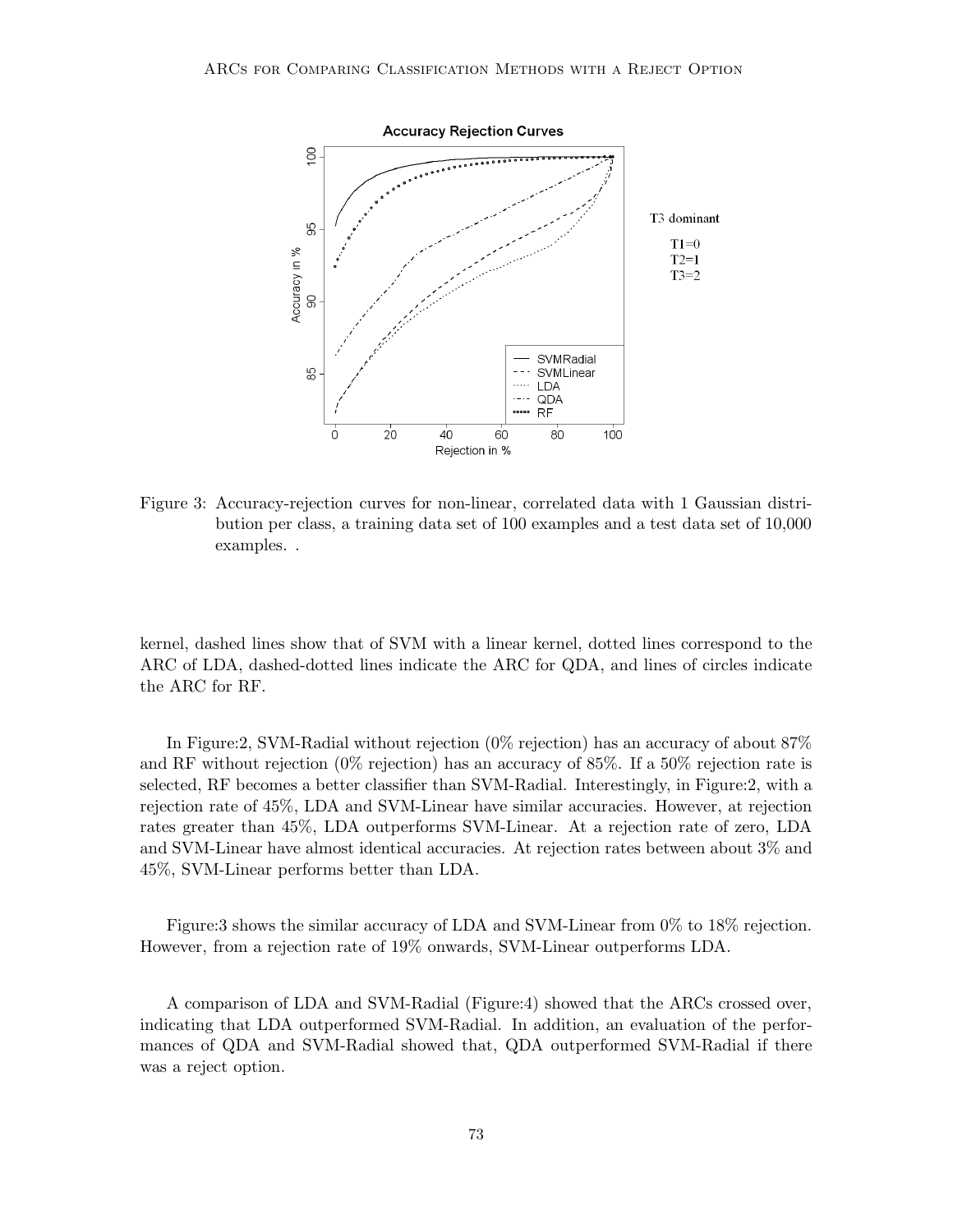

Figure 3: Accuracy-rejection curves for non-linear, correlated data with 1 Gaussian distribution per class, a training data set of 100 examples and a test data set of 10,000 examples. .

kernel, dashed lines show that of SVM with a linear kernel, dotted lines correspond to the ARC of LDA, dashed-dotted lines indicate the ARC for QDA, and lines of circles indicate the ARC for RF.

In Figure:2, SVM-Radial without rejection (0% rejection) has an accuracy of about 87% and RF without rejection (0% rejection) has an accuracy of 85%. If a 50% rejection rate is selected, RF becomes a better classifier than SVM-Radial. Interestingly, in Figure:2, with a rejection rate of 45%, LDA and SVM-Linear have similar accuracies. However, at rejection rates greater than 45%, LDA outperforms SVM-Linear. At a rejection rate of zero, LDA and SVM-Linear have almost identical accuracies. At rejection rates between about 3% and 45%, SVM-Linear performs better than LDA.

Figure:3 shows the similar accuracy of LDA and SVM-Linear from 0% to 18% rejection. However, from a rejection rate of 19% onwards, SVM-Linear outperforms LDA.

A comparison of LDA and SVM-Radial (Figure:4) showed that the ARCs crossed over, indicating that LDA outperformed SVM-Radial. In addition, an evaluation of the performances of QDA and SVM-Radial showed that, QDA outperformed SVM-Radial if there was a reject option.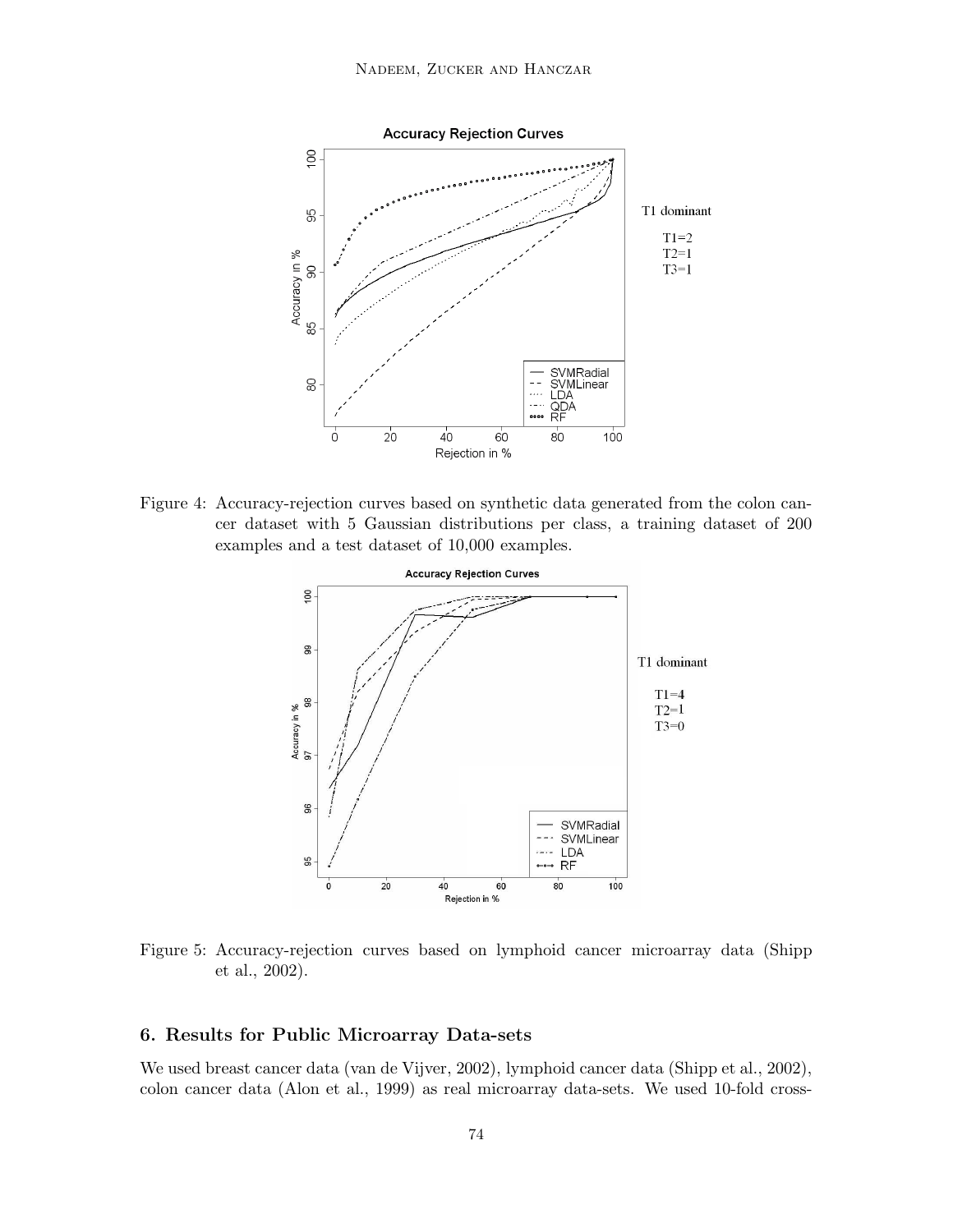

Figure 4: Accuracy-rejection curves based on synthetic data generated from the colon cancer dataset with 5 Gaussian distributions per class, a training dataset of 200 examples and a test dataset of 10,000 examples.



Figure 5: Accuracy-rejection curves based on lymphoid cancer microarray data (Shipp et al., 2002).

# 6. Results for Public Microarray Data-sets

We used breast cancer data (van de Vijver, 2002), lymphoid cancer data (Shipp et al., 2002), colon cancer data (Alon et al., 1999) as real microarray data-sets. We used 10-fold cross-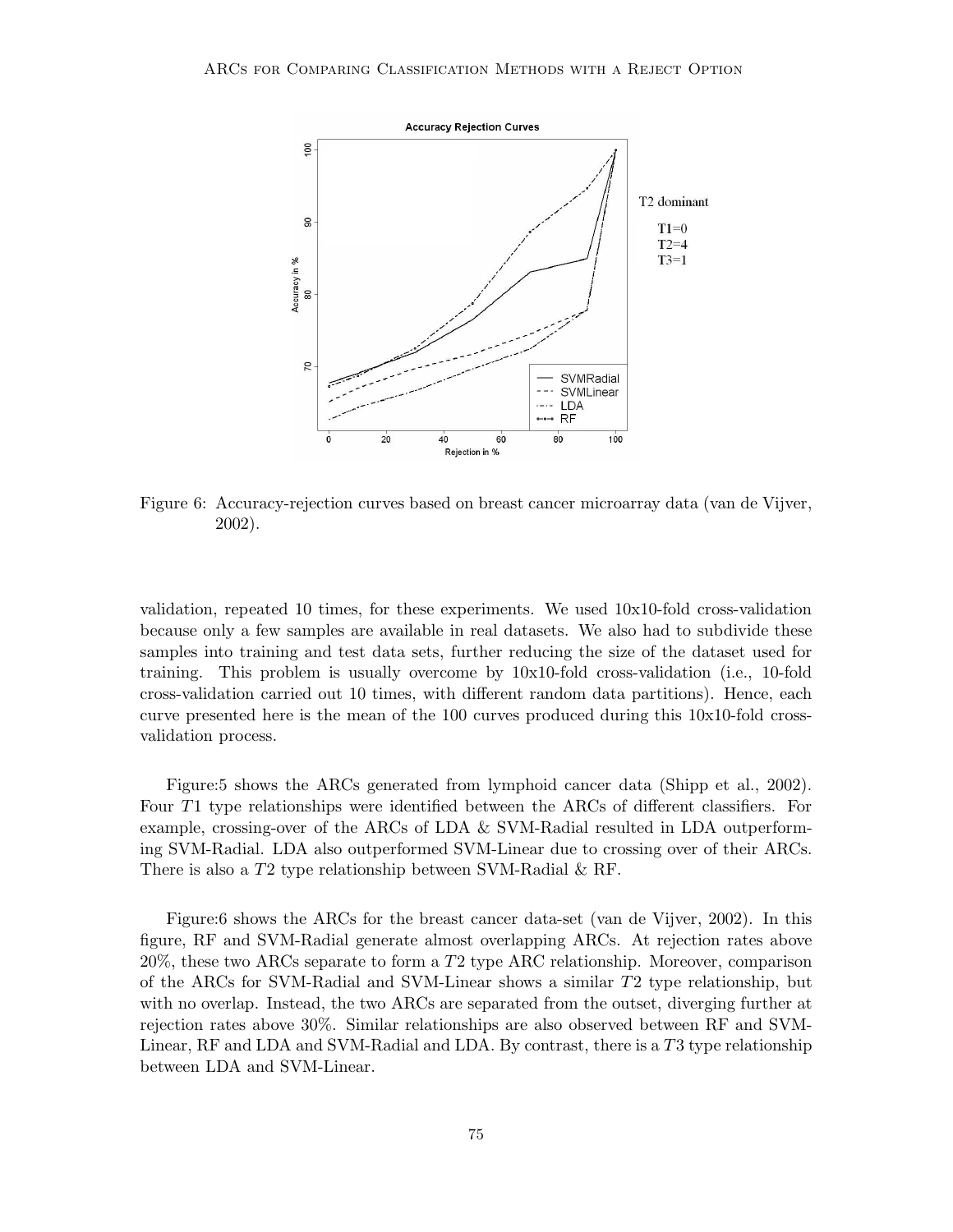

Figure 6: Accuracy-rejection curves based on breast cancer microarray data (van de Vijver, 2002).

validation, repeated 10 times, for these experiments. We used 10x10-fold cross-validation because only a few samples are available in real datasets. We also had to subdivide these samples into training and test data sets, further reducing the size of the dataset used for training. This problem is usually overcome by 10x10-fold cross-validation (i.e., 10-fold cross-validation carried out 10 times, with different random data partitions). Hence, each curve presented here is the mean of the 100 curves produced during this 10x10-fold crossvalidation process.

Figure:5 shows the ARCs generated from lymphoid cancer data (Shipp et al., 2002). Four T1 type relationships were identified between the ARCs of different classifiers. For example, crossing-over of the ARCs of LDA & SVM-Radial resulted in LDA outperforming SVM-Radial. LDA also outperformed SVM-Linear due to crossing over of their ARCs. There is also a T2 type relationship between SVM-Radial & RF.

Figure:6 shows the ARCs for the breast cancer data-set (van de Vijver, 2002). In this figure, RF and SVM-Radial generate almost overlapping ARCs. At rejection rates above  $20\%$ , these two ARCs separate to form a T2 type ARC relationship. Moreover, comparison of the ARCs for SVM-Radial and SVM-Linear shows a similar T2 type relationship, but with no overlap. Instead, the two ARCs are separated from the outset, diverging further at rejection rates above 30%. Similar relationships are also observed between RF and SVM-Linear, RF and LDA and SVM-Radial and LDA. By contrast, there is a T3 type relationship between LDA and SVM-Linear.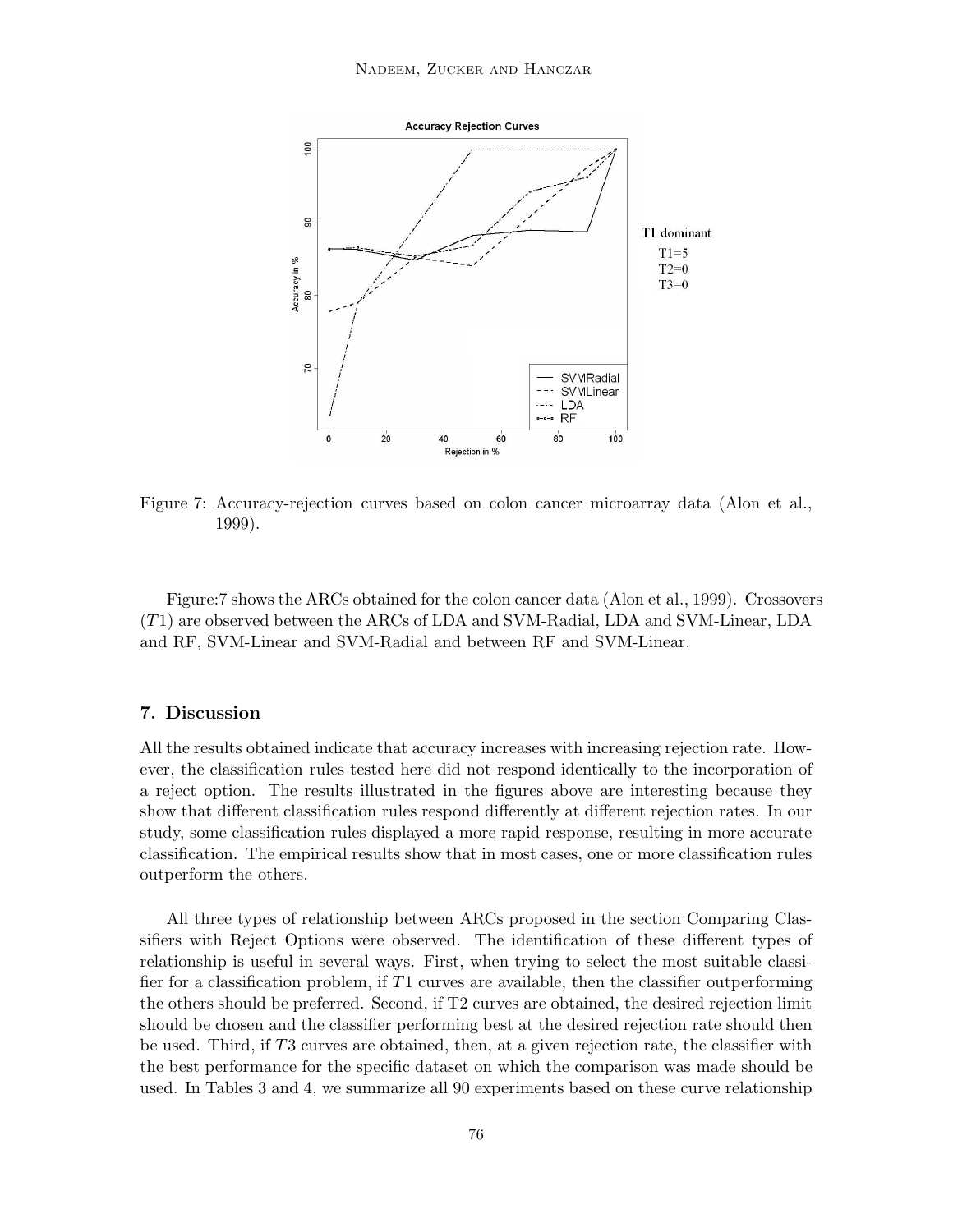

Figure 7: Accuracy-rejection curves based on colon cancer microarray data (Alon et al., 1999).

Figure:7 shows the ARCs obtained for the colon cancer data (Alon et al., 1999). Crossovers (T1) are observed between the ARCs of LDA and SVM-Radial, LDA and SVM-Linear, LDA and RF, SVM-Linear and SVM-Radial and between RF and SVM-Linear.

# 7. Discussion

All the results obtained indicate that accuracy increases with increasing rejection rate. However, the classification rules tested here did not respond identically to the incorporation of a reject option. The results illustrated in the figures above are interesting because they show that different classification rules respond differently at different rejection rates. In our study, some classification rules displayed a more rapid response, resulting in more accurate classification. The empirical results show that in most cases, one or more classification rules outperform the others.

All three types of relationship between ARCs proposed in the section Comparing Classifiers with Reject Options were observed. The identification of these different types of relationship is useful in several ways. First, when trying to select the most suitable classifier for a classification problem, if  $T1$  curves are available, then the classifier outperforming the others should be preferred. Second, if T2 curves are obtained, the desired rejection limit should be chosen and the classifier performing best at the desired rejection rate should then be used. Third, if T3 curves are obtained, then, at a given rejection rate, the classifier with the best performance for the specific dataset on which the comparison was made should be used. In Tables 3 and 4, we summarize all 90 experiments based on these curve relationship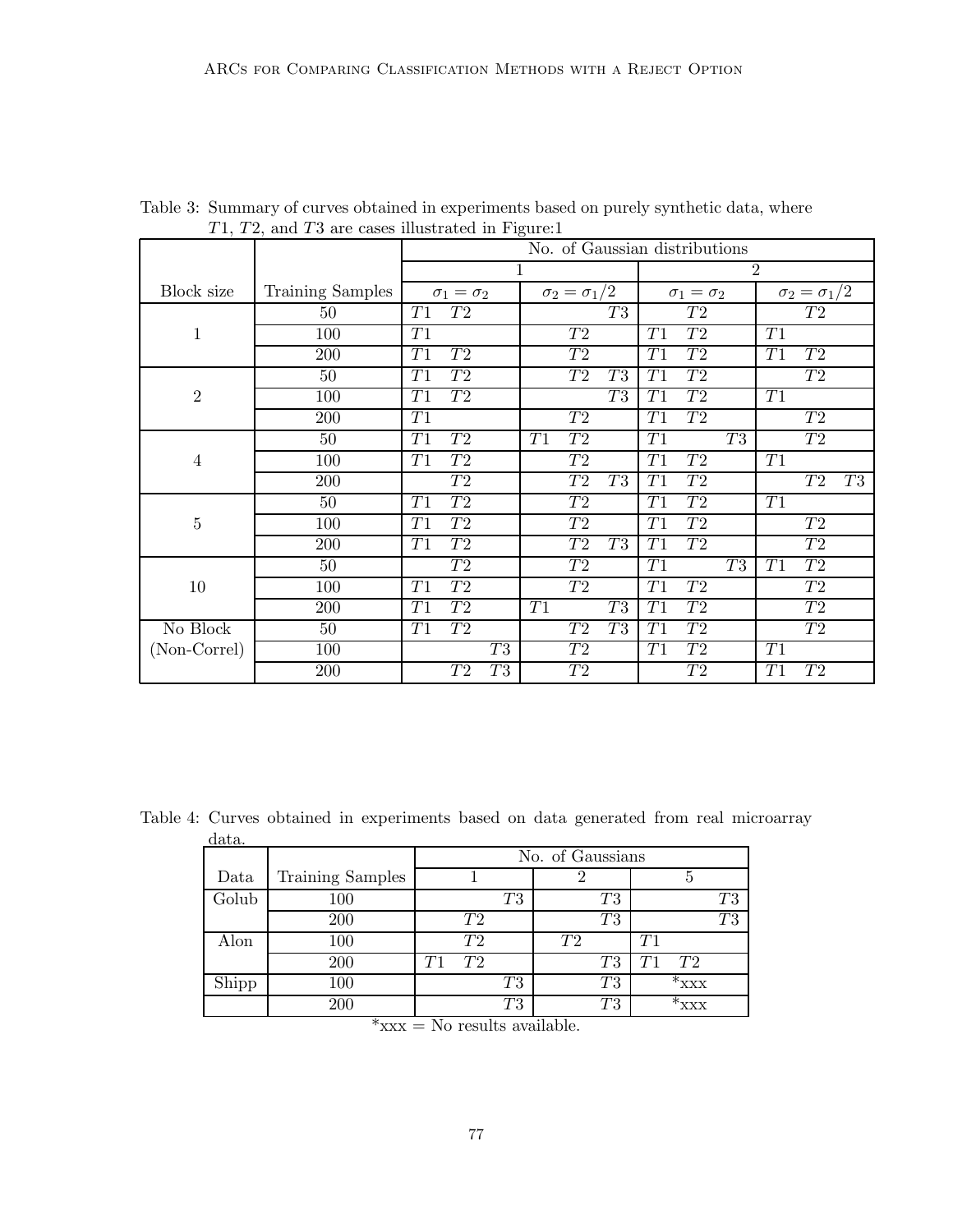|                |                         | $1, 1, 2,$ and $10$ are eases mastrated in $1.5$ are:<br>No. of Gaussian distributions |                                   |                                    |                       |  |  |  |  |
|----------------|-------------------------|----------------------------------------------------------------------------------------|-----------------------------------|------------------------------------|-----------------------|--|--|--|--|
|                |                         |                                                                                        | 1                                 | $\overline{2}$                     |                       |  |  |  |  |
| Block size     | <b>Training Samples</b> | $\sigma_1 = \sigma_2$                                                                  | $\sigma_2=\sigma_1/2$             | $\sigma_1 = \sigma_2$              | $\sigma_2=\sigma_1/2$ |  |  |  |  |
|                | 50                      | ${\cal T}2$<br>T1                                                                      | T3                                | ${\cal T}2$                        | ${\cal T}2$           |  |  |  |  |
| 1              | 100                     | T1                                                                                     | T2                                | ${\cal T}2$<br>T1                  | T1                    |  |  |  |  |
|                | 200                     | T1<br>${\cal T}2$                                                                      | ${\cal T}2$                       | T1<br>${\cal T}2$                  | T1<br>${\cal T}2$     |  |  |  |  |
| $\overline{2}$ | 50                      | T1<br>T2                                                                               | ${\cal T}2$<br>T3                 | T1<br>T2                           | T2                    |  |  |  |  |
|                | 100                     | ${\cal T}2$<br>T1                                                                      | T3                                | ${\cal T}2$<br>T1                  | T1                    |  |  |  |  |
|                | 200                     | $\overline{T1}$                                                                        | $\overline{T2}$                   | $\overline{T1}$<br>$\overline{T2}$ | $\overline{T2}$       |  |  |  |  |
| $\overline{4}$ | 50                      | $\overline{T1}$<br>$\overline{T2}$                                                     | T <sub>2</sub><br>$\overline{T1}$ | $\overline{T3}$<br>$\overline{T1}$ | $\overline{T2}$       |  |  |  |  |
|                | 100                     | $\overline{T2}$<br>T1                                                                  | $\overline{T2}$                   | $\overline{T2}$<br>T1              | $\overline{T1}$       |  |  |  |  |
|                | 200                     | T2                                                                                     | ${\cal T}2$<br>T3                 | T1<br>${\cal T}2$                  | $\mathcal{T}3$<br>T2  |  |  |  |  |
| $\bf 5$        | 50                      | $\overline{T2}$<br>T1                                                                  | $\overline{T2}$                   | T2<br>T1                           | T1                    |  |  |  |  |
|                | 100                     | T2<br>T1                                                                               | $\overline{T2}$                   | T1<br>T2                           | T2                    |  |  |  |  |
|                | 200                     | T2<br>T1                                                                               | T <sub>2</sub><br>T3              | T1<br>T2                           | ${\cal T}2$           |  |  |  |  |
| 10             | 50                      | T2                                                                                     | T2                                | T3<br>T1                           | T2<br>T1              |  |  |  |  |
|                | 100                     | $\overline{T2}$<br>$\overline{T1}$                                                     | $T_{2}$                           | $\overline{T1}$<br>$\overline{T2}$ | $\overline{T2}$       |  |  |  |  |
|                | 200                     | $\overline{T2}$<br>T1                                                                  | $\overline{T3}$<br>T1             | $\overline{T2}$<br>T1              | $\overline{T2}$       |  |  |  |  |
| No Block       | $50\,$                  | T2<br>T1                                                                               | $\overline{T2}$<br>T3             | $\overline{T2}$<br>T1              | $\overline{T2}$       |  |  |  |  |
| (Non-Correl)   | 100                     | $\overline{T3}$                                                                        | $\overline{T2}$                   | $\overline{T2}$<br>T1              | T1                    |  |  |  |  |
|                | 200                     | T3<br>T2                                                                               | ${\cal T}2$                       | T2                                 | ${\cal T}2$<br>T1     |  |  |  |  |

Table 3: Summary of curves obtained in experiments based on purely synthetic data, where T1, T2, and T3 are cases illustrated in Figure:1

Table 4: Curves obtained in experiments based on data generated from real microarray data.

| uava. |                  |                  |                |    |          |             |                |                  |    |
|-------|------------------|------------------|----------------|----|----------|-------------|----------------|------------------|----|
|       |                  | No. of Gaussians |                |    |          |             |                |                  |    |
| Data  | Training Samples |                  |                |    |          |             |                |                  |    |
| Golub | 100              |                  |                | T3 |          | T3          |                |                  | T3 |
|       | 200              |                  | T <sub>2</sub> |    |          | T3          |                |                  | T3 |
| Alon  | 100              |                  | $\mathit{T}2$  |    | T2       |             | T <sub>1</sub> |                  |    |
|       | 200              |                  | T9.            |    |          | $\emph{T}3$ |                | T2               |    |
| Shipp | 100              |                  |                | T3 |          | $\emph{T}3$ |                | $*_{\text{XXX}}$ |    |
|       | 200              |                  |                | T3 |          | $\emph{T}3$ |                | XXX              |    |
|       | ŀ                | $\mathbf{v}$     | $\mathbf{u}$   |    | $\cdots$ |             |                |                  |    |

 $*xxx = No$  results available.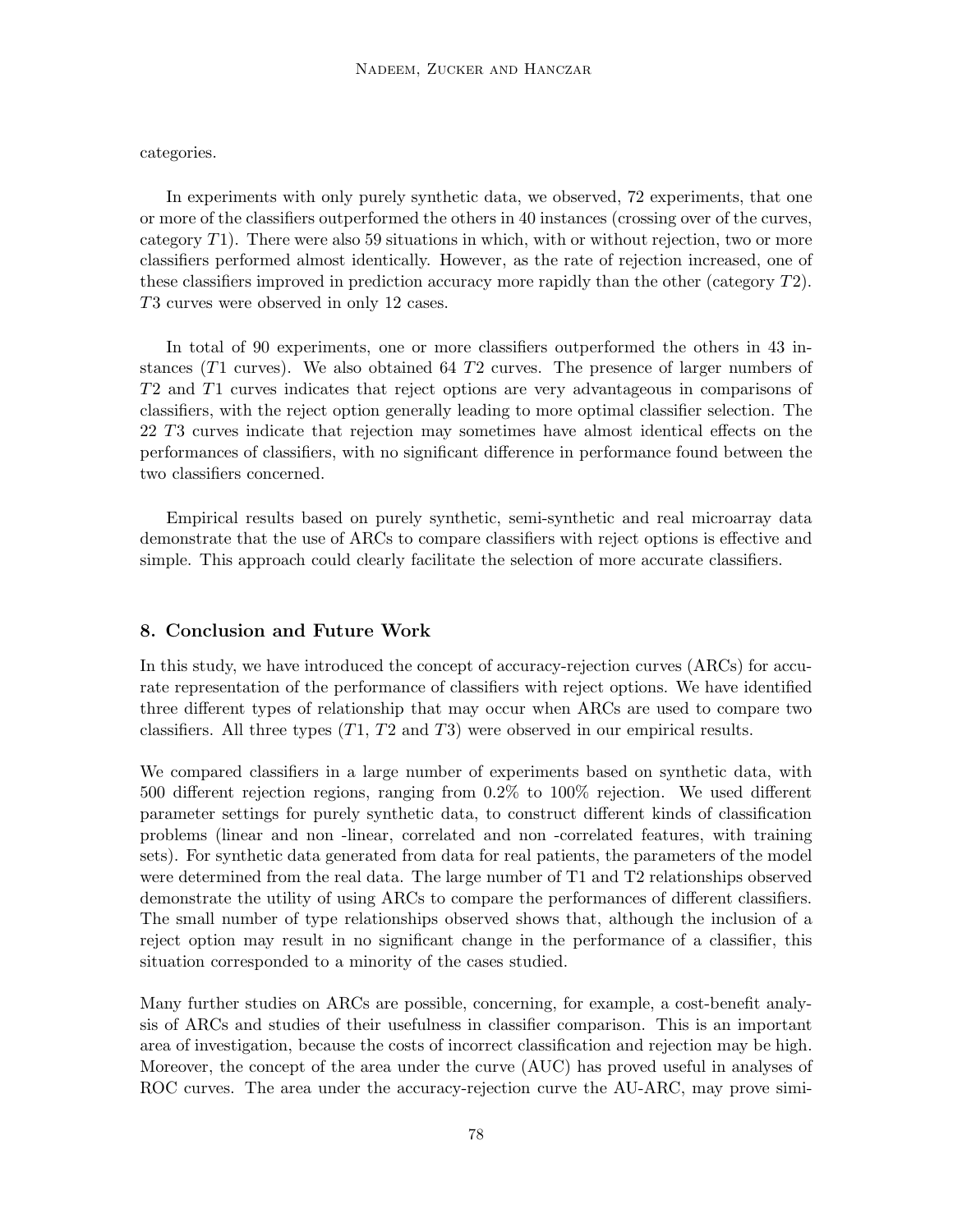categories.

In experiments with only purely synthetic data, we observed, 72 experiments, that one or more of the classifiers outperformed the others in 40 instances (crossing over of the curves, category  $T1$ ). There were also 59 situations in which, with or without rejection, two or more classifiers performed almost identically. However, as the rate of rejection increased, one of these classifiers improved in prediction accuracy more rapidly than the other (category  $T2$ ). T3 curves were observed in only 12 cases.

In total of 90 experiments, one or more classifiers outperformed the others in 43 instances  $(T1 \text{ curves})$ . We also obtained 64 T2 curves. The presence of larger numbers of T2 and T1 curves indicates that reject options are very advantageous in comparisons of classifiers, with the reject option generally leading to more optimal classifier selection. The 22 T3 curves indicate that rejection may sometimes have almost identical effects on the performances of classifiers, with no significant difference in performance found between the two classifiers concerned.

Empirical results based on purely synthetic, semi-synthetic and real microarray data demonstrate that the use of ARCs to compare classifiers with reject options is effective and simple. This approach could clearly facilitate the selection of more accurate classifiers.

### 8. Conclusion and Future Work

In this study, we have introduced the concept of accuracy-rejection curves (ARCs) for accurate representation of the performance of classifiers with reject options. We have identified three different types of relationship that may occur when ARCs are used to compare two classifiers. All three types  $(T1, T2 \text{ and } T3)$  were observed in our empirical results.

We compared classifiers in a large number of experiments based on synthetic data, with 500 different rejection regions, ranging from 0.2% to 100% rejection. We used different parameter settings for purely synthetic data, to construct different kinds of classification problems (linear and non -linear, correlated and non -correlated features, with training sets). For synthetic data generated from data for real patients, the parameters of the model were determined from the real data. The large number of T1 and T2 relationships observed demonstrate the utility of using ARCs to compare the performances of different classifiers. The small number of type relationships observed shows that, although the inclusion of a reject option may result in no significant change in the performance of a classifier, this situation corresponded to a minority of the cases studied.

Many further studies on ARCs are possible, concerning, for example, a cost-benefit analysis of ARCs and studies of their usefulness in classifier comparison. This is an important area of investigation, because the costs of incorrect classification and rejection may be high. Moreover, the concept of the area under the curve (AUC) has proved useful in analyses of ROC curves. The area under the accuracy-rejection curve the AU-ARC, may prove simi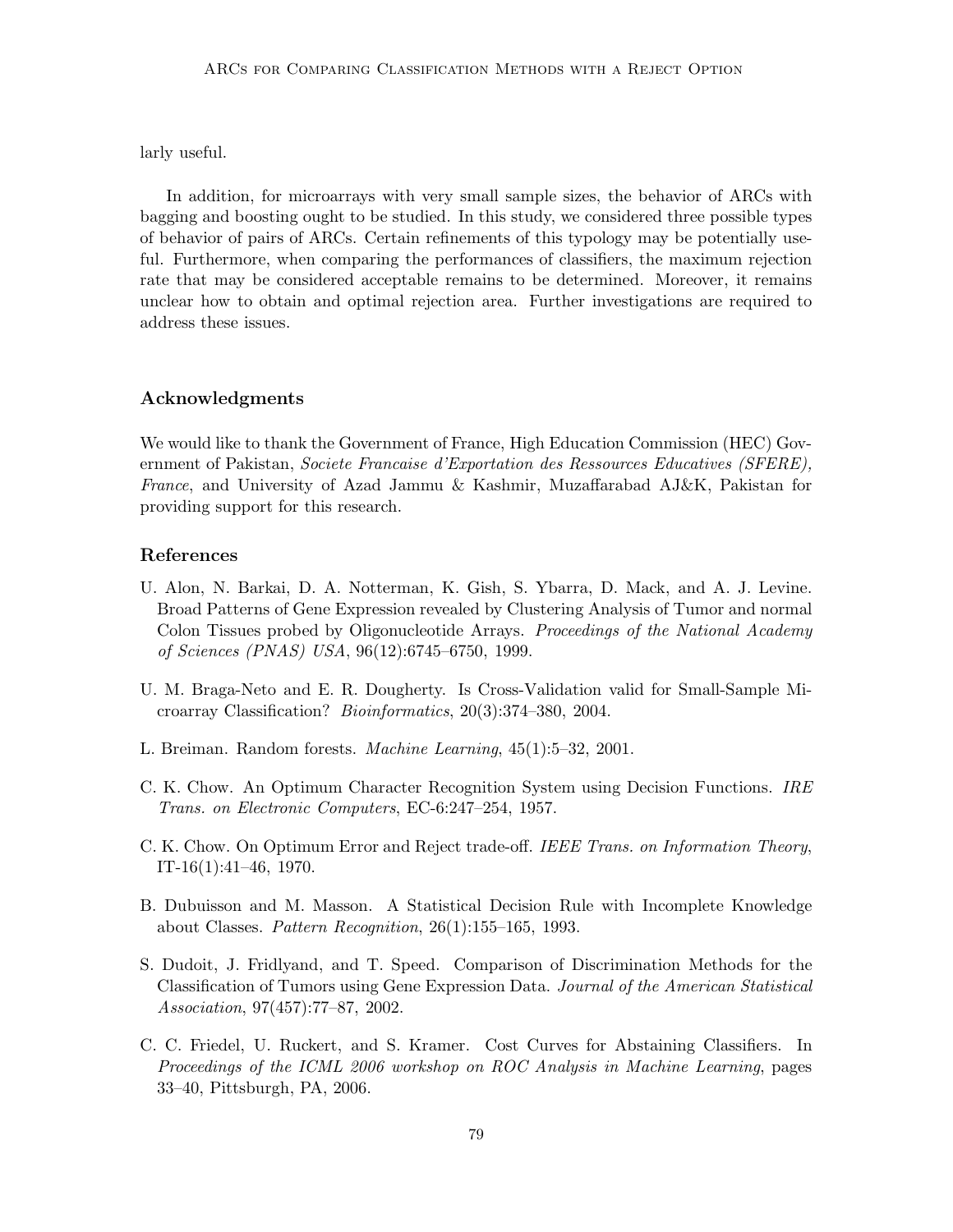larly useful.

In addition, for microarrays with very small sample sizes, the behavior of ARCs with bagging and boosting ought to be studied. In this study, we considered three possible types of behavior of pairs of ARCs. Certain refinements of this typology may be potentially useful. Furthermore, when comparing the performances of classifiers, the maximum rejection rate that may be considered acceptable remains to be determined. Moreover, it remains unclear how to obtain and optimal rejection area. Further investigations are required to address these issues.

## Acknowledgments

We would like to thank the Government of France, High Education Commission (HEC) Government of Pakistan, Societe Francaise d'Exportation des Ressources Educatives (SFERE), France, and University of Azad Jammu & Kashmir, Muzaffarabad AJ&K, Pakistan for providing support for this research.

## References

- U. Alon, N. Barkai, D. A. Notterman, K. Gish, S. Ybarra, D. Mack, and A. J. Levine. Broad Patterns of Gene Expression revealed by Clustering Analysis of Tumor and normal Colon Tissues probed by Oligonucleotide Arrays. Proceedings of the National Academy of Sciences (PNAS) USA, 96(12):6745–6750, 1999.
- U. M. Braga-Neto and E. R. Dougherty. Is Cross-Validation valid for Small-Sample Microarray Classification? Bioinformatics, 20(3):374–380, 2004.
- L. Breiman. Random forests. Machine Learning, 45(1):5–32, 2001.
- C. K. Chow. An Optimum Character Recognition System using Decision Functions. IRE Trans. on Electronic Computers, EC-6:247–254, 1957.
- C. K. Chow. On Optimum Error and Reject trade-off. IEEE Trans. on Information Theory, IT-16(1):41–46, 1970.
- B. Dubuisson and M. Masson. A Statistical Decision Rule with Incomplete Knowledge about Classes. Pattern Recognition, 26(1):155–165, 1993.
- S. Dudoit, J. Fridlyand, and T. Speed. Comparison of Discrimination Methods for the Classification of Tumors using Gene Expression Data. Journal of the American Statistical Association, 97(457):77–87, 2002.
- C. C. Friedel, U. Ruckert, and S. Kramer. Cost Curves for Abstaining Classifiers. In Proceedings of the ICML 2006 workshop on ROC Analysis in Machine Learning, pages 33–40, Pittsburgh, PA, 2006.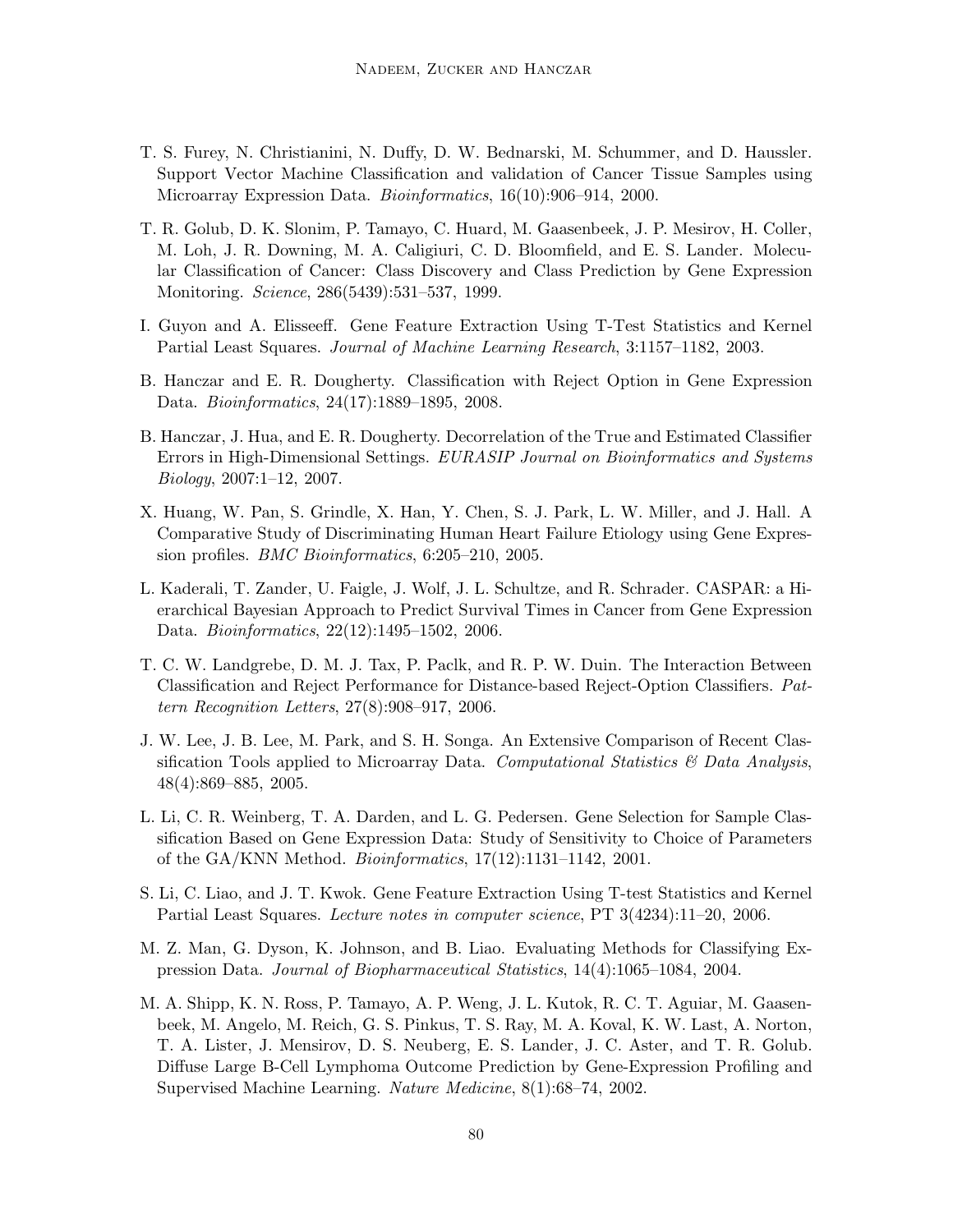- T. S. Furey, N. Christianini, N. Duffy, D. W. Bednarski, M. Schummer, and D. Haussler. Support Vector Machine Classification and validation of Cancer Tissue Samples using Microarray Expression Data. Bioinformatics, 16(10):906–914, 2000.
- T. R. Golub, D. K. Slonim, P. Tamayo, C. Huard, M. Gaasenbeek, J. P. Mesirov, H. Coller, M. Loh, J. R. Downing, M. A. Caligiuri, C. D. Bloomfield, and E. S. Lander. Molecular Classification of Cancer: Class Discovery and Class Prediction by Gene Expression Monitoring. Science, 286(5439):531–537, 1999.
- I. Guyon and A. Elisseeff. Gene Feature Extraction Using T-Test Statistics and Kernel Partial Least Squares. Journal of Machine Learning Research, 3:1157–1182, 2003.
- B. Hanczar and E. R. Dougherty. Classification with Reject Option in Gene Expression Data. Bioinformatics, 24(17):1889–1895, 2008.
- B. Hanczar, J. Hua, and E. R. Dougherty. Decorrelation of the True and Estimated Classifier Errors in High-Dimensional Settings. EURASIP Journal on Bioinformatics and Systems Biology, 2007:1–12, 2007.
- X. Huang, W. Pan, S. Grindle, X. Han, Y. Chen, S. J. Park, L. W. Miller, and J. Hall. A Comparative Study of Discriminating Human Heart Failure Etiology using Gene Expression profiles. BMC Bioinformatics, 6:205–210, 2005.
- L. Kaderali, T. Zander, U. Faigle, J. Wolf, J. L. Schultze, and R. Schrader. CASPAR: a Hierarchical Bayesian Approach to Predict Survival Times in Cancer from Gene Expression Data. Bioinformatics, 22(12):1495–1502, 2006.
- T. C. W. Landgrebe, D. M. J. Tax, P. Paclk, and R. P. W. Duin. The Interaction Between Classification and Reject Performance for Distance-based Reject-Option Classifiers. Pattern Recognition Letters, 27(8):908–917, 2006.
- J. W. Lee, J. B. Lee, M. Park, and S. H. Songa. An Extensive Comparison of Recent Classification Tools applied to Microarray Data. Computational Statistics  $\mathcal{B}$  Data Analysis, 48(4):869–885, 2005.
- L. Li, C. R. Weinberg, T. A. Darden, and L. G. Pedersen. Gene Selection for Sample Classification Based on Gene Expression Data: Study of Sensitivity to Choice of Parameters of the GA/KNN Method. Bioinformatics, 17(12):1131–1142, 2001.
- S. Li, C. Liao, and J. T. Kwok. Gene Feature Extraction Using T-test Statistics and Kernel Partial Least Squares. Lecture notes in computer science, PT 3(4234):11–20, 2006.
- M. Z. Man, G. Dyson, K. Johnson, and B. Liao. Evaluating Methods for Classifying Expression Data. Journal of Biopharmaceutical Statistics, 14(4):1065–1084, 2004.
- M. A. Shipp, K. N. Ross, P. Tamayo, A. P. Weng, J. L. Kutok, R. C. T. Aguiar, M. Gaasenbeek, M. Angelo, M. Reich, G. S. Pinkus, T. S. Ray, M. A. Koval, K. W. Last, A. Norton, T. A. Lister, J. Mensirov, D. S. Neuberg, E. S. Lander, J. C. Aster, and T. R. Golub. Diffuse Large B-Cell Lymphoma Outcome Prediction by Gene-Expression Profiling and Supervised Machine Learning. Nature Medicine, 8(1):68–74, 2002.